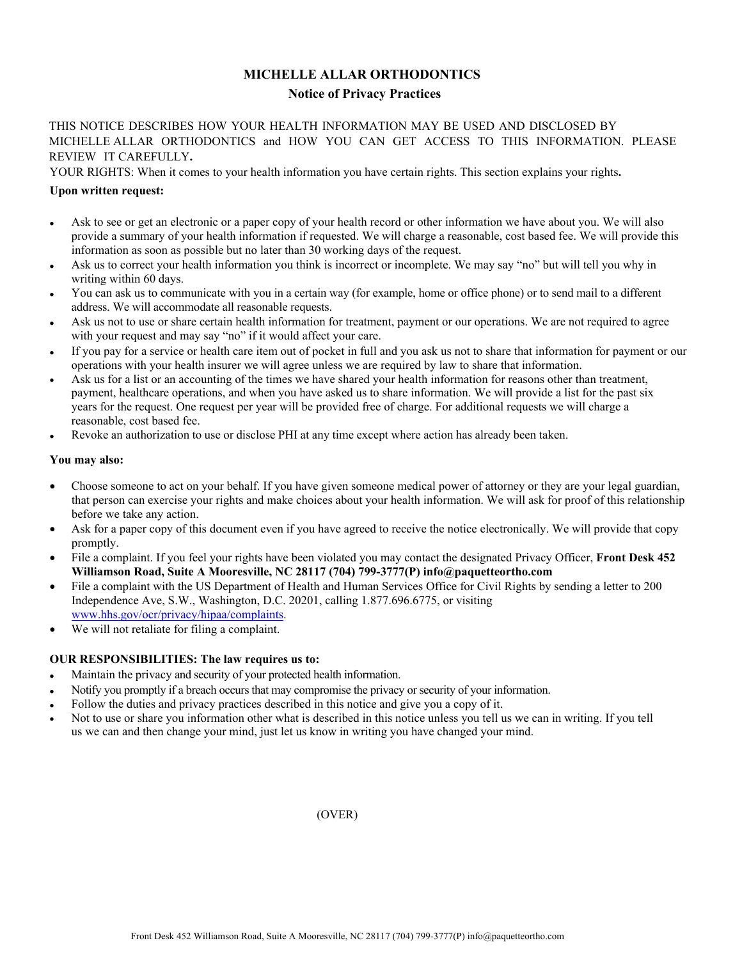# **MICHELLE ALLAR ORTHODONTICS Notice of Privacy Practices**

THIS NOTICE DESCRIBES HOW YOUR HEALTH INFORMATION MAY BE USED AND DISCLOSED BY MICHELLE ALLAR ORTHODONTICS and HOW YOU CAN GET ACCESS TO THIS INFORMATION. PLEASE REVIEW IT CAREFULLY**.**

YOUR RIGHTS: When it comes to your health information you have certain rights. This section explains your rights**.**

## **Upon written request:**

- Ask to see or get an electronic or a paper copy of your health record or other information we have about you. We will also provide a summary of your health information if requested. We will charge a reasonable, cost based fee. We will provide this information as soon as possible but no later than 30 working days of the request.
- Ask us to correct your health information you think is incorrect or incomplete. We may say "no" but will tell you why in writing within 60 days.
- You can ask us to communicate with you in a certain way (for example, home or office phone) or to send mail to a different address. We will accommodate all reasonable requests.
- Ask us not to use or share certain health information for treatment, payment or our operations. We are not required to agree with your request and may say "no" if it would affect your care.
- If you pay for a service or health care item out of pocket in full and you ask us not to share that information for payment or our operations with your health insurer we will agree unless we are required by law to share that information.
- Ask us for a list or an accounting of the times we have shared your health information for reasons other than treatment, payment, healthcare operations, and when you have asked us to share information. We will provide a list for the past six years for the request. One request per year will be provided free of charge. For additional requests we will charge a reasonable, cost based fee.
- Revoke an authorization to use or disclose PHI at any time except where action has already been taken.

#### **You may also:**

- Choose someone to act on your behalf. If you have given someone medical power of attorney or they are your legal guardian, that person can exercise your rights and make choices about your health information. We will ask for proof of this relationship before we take any action.
- Ask for a paper copy of this document even if you have agreed to receive the notice electronically. We will provide that copy promptly.
- File a complaint. If you feel your rights have been violated you may contact the designated Privacy Officer, **Front Desk 452 Williamson Road, Suite A Mooresville, NC 28117 (704) 799-3777(P) info@paquetteortho.com**
- File a complaint with the US Department of Health and Human Services Office for Civil Rights by sending a letter to 200 Independence Ave, S.W., Washington, D.C. 20201, calling 1.877.696.6775, or visiting [www.hhs.gov/ocr/privacy/hipaa/complaints](http://www.hhs.gov/ocr/privacy/hipaa/complaints).
- We will not retaliate for filing a complaint.

### **OUR RESPONSIBILITIES: The law requires us to:**

- Maintain the privacy and security of your protected health information.
- Notify you promptly if a breach occurs that may compromise the privacy or security of your information.
- Follow the duties and privacy practices described in this notice and give you a copy of it.
- Not to use or share you information other what is described in this notice unless you tell us we can in writing. If you tell us we can and then change your mind, just let us know in writing you have changed your mind.

(OVER)